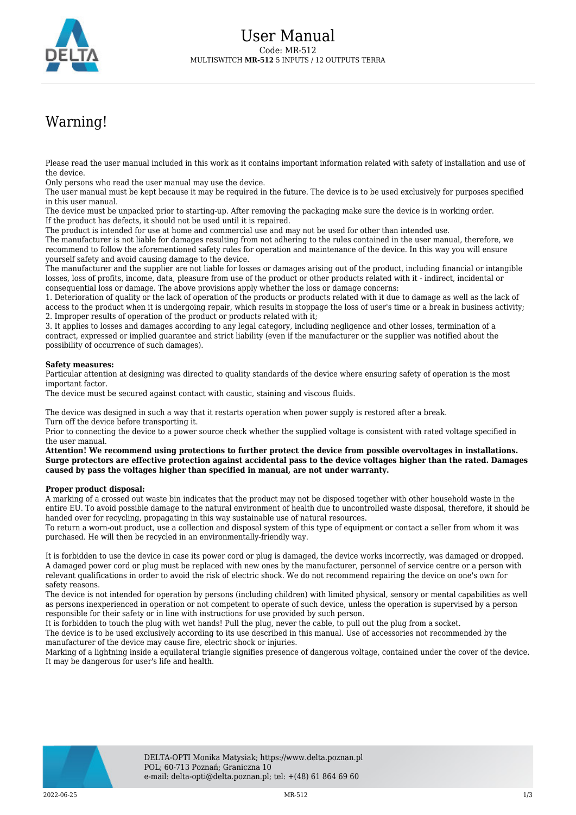

## Warning!

Please read the user manual included in this work as it contains important information related with safety of installation and use of the device.

Only persons who read the user manual may use the device.

The user manual must be kept because it may be required in the future. The device is to be used exclusively for purposes specified in this user manual.

The device must be unpacked prior to starting-up. After removing the packaging make sure the device is in working order. If the product has defects, it should not be used until it is repaired.

The product is intended for use at home and commercial use and may not be used for other than intended use.

The manufacturer is not liable for damages resulting from not adhering to the rules contained in the user manual, therefore, we recommend to follow the aforementioned safety rules for operation and maintenance of the device. In this way you will ensure yourself safety and avoid causing damage to the device.

The manufacturer and the supplier are not liable for losses or damages arising out of the product, including financial or intangible losses, loss of profits, income, data, pleasure from use of the product or other products related with it - indirect, incidental or consequential loss or damage. The above provisions apply whether the loss or damage concerns:

1. Deterioration of quality or the lack of operation of the products or products related with it due to damage as well as the lack of access to the product when it is undergoing repair, which results in stoppage the loss of user's time or a break in business activity; 2. Improper results of operation of the product or products related with it;

3. It applies to losses and damages according to any legal category, including negligence and other losses, termination of a contract, expressed or implied guarantee and strict liability (even if the manufacturer or the supplier was notified about the possibility of occurrence of such damages).

## **Safety measures:**

Particular attention at designing was directed to quality standards of the device where ensuring safety of operation is the most important factor.

The device must be secured against contact with caustic, staining and viscous fluids.

The device was designed in such a way that it restarts operation when power supply is restored after a break. Turn off the device before transporting it.

Prior to connecting the device to a power source check whether the supplied voltage is consistent with rated voltage specified in the user manual.

**Attention! We recommend using protections to further protect the device from possible overvoltages in installations. Surge protectors are effective protection against accidental pass to the device voltages higher than the rated. Damages caused by pass the voltages higher than specified in manual, are not under warranty.**

## **Proper product disposal:**

A marking of a crossed out waste bin indicates that the product may not be disposed together with other household waste in the entire EU. To avoid possible damage to the natural environment of health due to uncontrolled waste disposal, therefore, it should be handed over for recycling, propagating in this way sustainable use of natural resources.

To return a worn-out product, use a collection and disposal system of this type of equipment or contact a seller from whom it was purchased. He will then be recycled in an environmentally-friendly way.

It is forbidden to use the device in case its power cord or plug is damaged, the device works incorrectly, was damaged or dropped. A damaged power cord or plug must be replaced with new ones by the manufacturer, personnel of service centre or a person with relevant qualifications in order to avoid the risk of electric shock. We do not recommend repairing the device on one's own for safety reasons.

The device is not intended for operation by persons (including children) with limited physical, sensory or mental capabilities as well as persons inexperienced in operation or not competent to operate of such device, unless the operation is supervised by a person responsible for their safety or in line with instructions for use provided by such person.

It is forbidden to touch the plug with wet hands! Pull the plug, never the cable, to pull out the plug from a socket.

The device is to be used exclusively according to its use described in this manual. Use of accessories not recommended by the manufacturer of the device may cause fire, electric shock or injuries.

Marking of a lightning inside a equilateral triangle signifies presence of dangerous voltage, contained under the cover of the device. It may be dangerous for user's life and health.

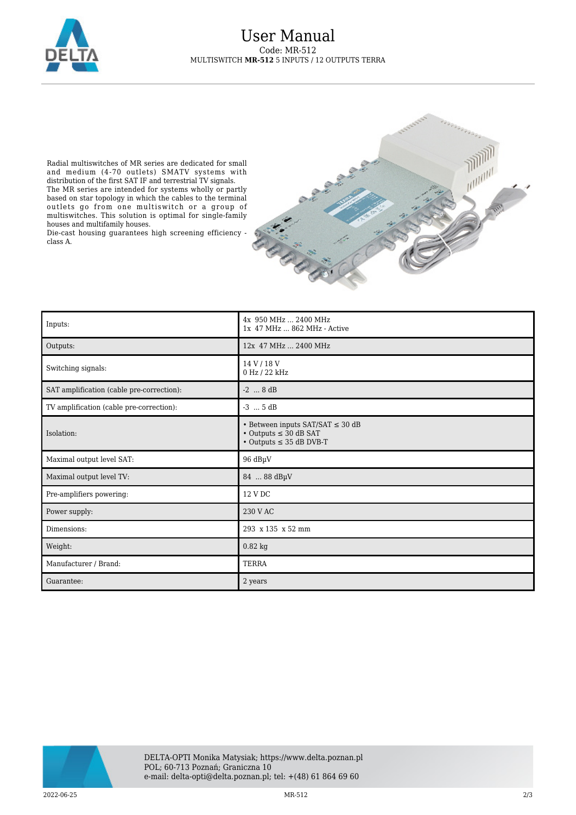

Radial multiswitches of MR series are dedicated for small and medium (4-70 outlets) SMATV systems with distribution of the first SAT IF and terrestrial TV signals. The MR series are intended for systems wholly or partly based on star topology in which the cables to the terminal outlets go from one multiswitch or a group of multiswitches. This solution is optimal for single-family houses and multifamily houses.

Die-cast housing guarantees high screening efficiency class A.



| Inputs:                                   | 4x 950 MHz  2400 MHz<br>1x 47 MHz  862 MHz - Active                                                             |
|-------------------------------------------|-----------------------------------------------------------------------------------------------------------------|
| Outputs:                                  | 12x 47 MHz  2400 MHz                                                                                            |
| Switching signals:                        | 14 V / 18 V<br>0 Hz / 22 kHz                                                                                    |
| SAT amplification (cable pre-correction): | $-2$ 8 dB                                                                                                       |
| TV amplification (cable pre-correction):  | $-3$ $5 dB$                                                                                                     |
| Isolation:                                | • Between inputs SAT/SAT $\leq$ 30 dB<br>$\cdot$ Outputs $\leq$ 30 dB SAT<br>$\cdot$ Outputs $\leq$ 35 dB DVB-T |
| Maximal output level SAT:                 | 96 dBµV                                                                                                         |
| Maximal output level TV:                  | 84  88 dBµV                                                                                                     |
| Pre-amplifiers powering:                  | 12 V DC                                                                                                         |
| Power supply:                             | 230 V AC                                                                                                        |
| Dimensions:                               | 293 x 135 x 52 mm                                                                                               |
| Weight:                                   | $0.82$ kg                                                                                                       |
| Manufacturer / Brand:                     | <b>TERRA</b>                                                                                                    |
| Guarantee:                                | 2 years                                                                                                         |